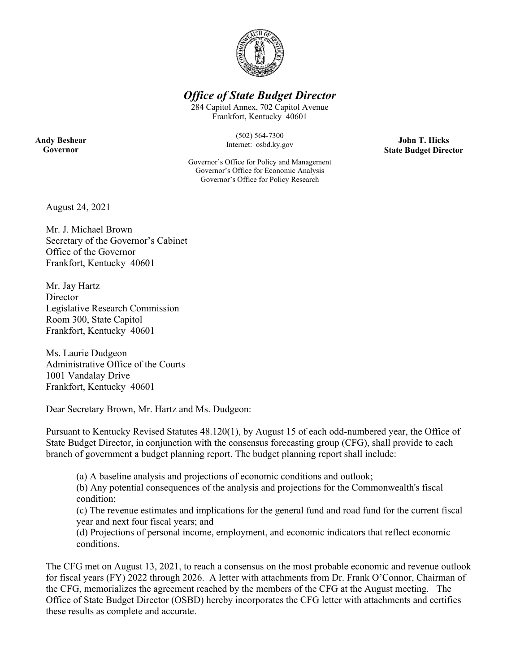

# *Office of State Budget Director*

284 Capitol Annex, 702 Capitol Avenue Frankfort, Kentucky 40601

> (502) 564-7300 Internet: osbd.ky.gov

Governor's Office for Policy and Management Governor's Office for Economic Analysis Governor's Office for Policy Research

**John T. Hicks State Budget Director** 

August 24, 2021

**Andy Beshear Governor** 

> Mr. J. Michael Brown Secretary of the Governor's Cabinet Office of the Governor Frankfort, Kentucky 40601

Mr. Jay Hartz **Director** Legislative Research Commission Room 300, State Capitol Frankfort, Kentucky 40601

Ms. Laurie Dudgeon Administrative Office of the Courts 1001 Vandalay Drive Frankfort, Kentucky 40601

Dear Secretary Brown, Mr. Hartz and Ms. Dudgeon:

Pursuant to Kentucky Revised Statutes 48.120(1), by August 15 of each odd-numbered year, the Office of State Budget Director, in conjunction with the consensus forecasting group (CFG), shall provide to each branch of government a budget planning report. The budget planning report shall include:

(a) A baseline analysis and projections of economic conditions and outlook;

(b) Any potential consequences of the analysis and projections for the Commonwealth's fiscal condition;

(c) The revenue estimates and implications for the general fund and road fund for the current fiscal year and next four fiscal years; and

(d) Projections of personal income, employment, and economic indicators that reflect economic conditions.

The CFG met on August 13, 2021, to reach a consensus on the most probable economic and revenue outlook for fiscal years (FY) 2022 through 2026. A letter with attachments from Dr. Frank O'Connor, Chairman of the CFG, memorializes the agreement reached by the members of the CFG at the August meeting. The Office of State Budget Director (OSBD) hereby incorporates the CFG letter with attachments and certifies these results as complete and accurate.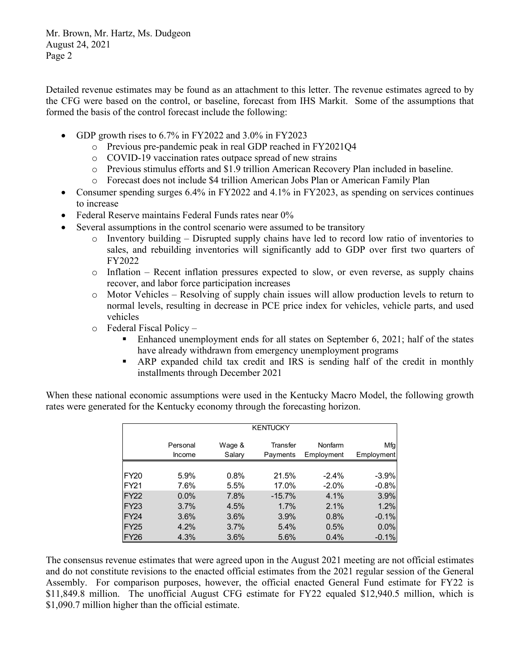Mr. Brown, Mr. Hartz, Ms. Dudgeon August 24, 2021 Page 2

Detailed revenue estimates may be found as an attachment to this letter. The revenue estimates agreed to by the CFG were based on the control, or baseline, forecast from IHS Markit. Some of the assumptions that formed the basis of the control forecast include the following:

- GDP growth rises to 6.7% in FY2022 and 3.0% in FY2023
	- o Previous pre-pandemic peak in real GDP reached in FY2021Q4
	- o COVID-19 vaccination rates outpace spread of new strains
	- o Previous stimulus efforts and \$1.9 trillion American Recovery Plan included in baseline.
	- o Forecast does not include \$4 trillion American Jobs Plan or American Family Plan
- Consumer spending surges 6.4% in FY2022 and 4.1% in FY2023, as spending on services continues to increase
- Federal Reserve maintains Federal Funds rates near 0%
- Several assumptions in the control scenario were assumed to be transitory
	- o Inventory building Disrupted supply chains have led to record low ratio of inventories to sales, and rebuilding inventories will significantly add to GDP over first two quarters of FY2022
	- $\circ$  Inflation Recent inflation pressures expected to slow, or even reverse, as supply chains recover, and labor force participation increases
	- o Motor Vehicles Resolving of supply chain issues will allow production levels to return to normal levels, resulting in decrease in PCE price index for vehicles, vehicle parts, and used vehicles
	- o Federal Fiscal Policy
		- Enhanced unemployment ends for all states on September 6, 2021; half of the states have already withdrawn from emergency unemployment programs
		- ARP expanded child tax credit and IRS is sending half of the credit in monthly installments through December 2021

When these national economic assumptions were used in the Kentucky Macro Model, the following growth rates were generated for the Kentucky economy through the forecasting horizon.

|                  | <b>KENTUCKY</b>    |                  |                      |                       |                   |  |  |  |  |  |
|------------------|--------------------|------------------|----------------------|-----------------------|-------------------|--|--|--|--|--|
|                  | Personal<br>Income | Wage &<br>Salary | Transfer<br>Payments | Nonfarm<br>Employment | Mfg<br>Employment |  |  |  |  |  |
|                  |                    |                  |                      |                       |                   |  |  |  |  |  |
| <b>FY20</b>      | 5.9%               | 0.8%             | 21.5%                | $-2.4%$               | $-3.9%$           |  |  |  |  |  |
| <b>FY21</b>      | 7.6%               | 5.5%             | 17.0%                | $-2.0%$               | $-0.8%$           |  |  |  |  |  |
| <b>FY22</b>      | 0.0%               | 7.8%             | $-15.7%$             | 4.1%                  | 3.9%              |  |  |  |  |  |
| FY <sub>23</sub> | 3.7%               | 4.5%             | 1.7%                 | 2.1%                  | 1.2%              |  |  |  |  |  |
| FY <sub>24</sub> | 3.6%               | 3.6%             | 3.9%                 | 0.8%                  | $-0.1%$           |  |  |  |  |  |
| <b>FY25</b>      | 4.2%               | 3.7%             | 5.4%                 | 0.5%                  | 0.0%              |  |  |  |  |  |
| FY <sub>26</sub> | 4.3%               | 3.6%             | 5.6%                 | 0.4%                  | $-0.1%$           |  |  |  |  |  |

The consensus revenue estimates that were agreed upon in the August 2021 meeting are not official estimates and do not constitute revisions to the enacted official estimates from the 2021 regular session of the General Assembly. For comparison purposes, however, the official enacted General Fund estimate for FY22 is \$11,849.8 million. The unofficial August CFG estimate for FY22 equaled \$12,940.5 million, which is \$1,090.7 million higher than the official estimate.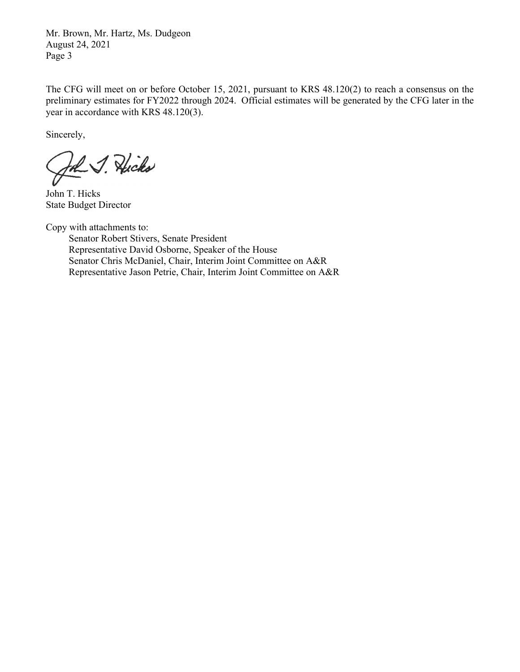Mr. Brown, Mr. Hartz, Ms. Dudgeon August 24, 2021 Page 3

The CFG will meet on or before October 15, 2021, pursuant to KRS 48.120(2) to reach a consensus on the preliminary estimates for FY2022 through 2024. Official estimates will be generated by the CFG later in the year in accordance with KRS 48.120(3).

Sincerely,

John J. Hicks

John T. Hicks State Budget Director

Copy with attachments to:

 Senator Robert Stivers, Senate President Representative David Osborne, Speaker of the House Senator Chris McDaniel, Chair, Interim Joint Committee on A&R Representative Jason Petrie, Chair, Interim Joint Committee on A&R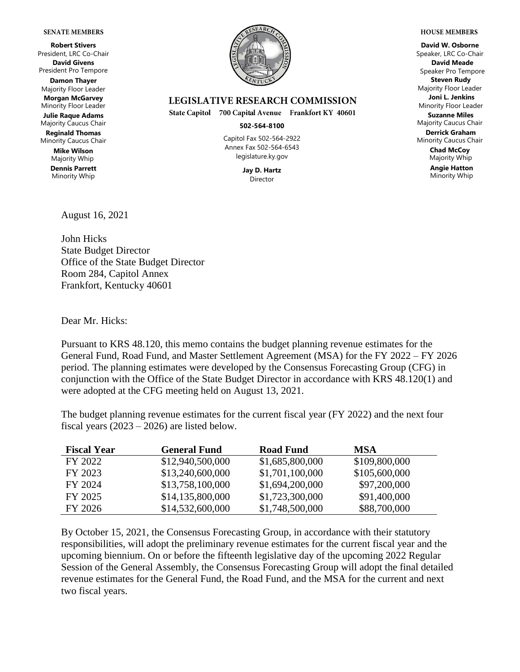#### **SENATE MEMBERS**

**Robert Stivers** President, LRC Co-Chair **David Givens** President Pro Tempore **Damon Thayer** Majority Floor Leader **Morgan McGarvey** Minority Floor Leader **Julie Raque Adams** Majority Caucus Chair **Reginald Thomas** Minority Caucus Chair **Mike Wilson**

Majority Whip **Dennis Parrett** Minority Whip



### **LEGISLATIVE RESEARCH COMMISSION**

State Capitol 700 Capital Avenue Frankfort KY 40601

#### **502-564-8100**

Capitol Fax 502-564-2922 Annex Fax 502-564-6543 legislature.ky.gov

> **Jay D. Hartz** Director

**David W. Osborne** Speaker, LRC Co-Chair **David Meade** Speaker Pro Tempore **Steven Rudy** Majority Floor Leader **Joni L. Jenkins** Minority Floor Leader **Suzanne Miles** Majority Caucus Chair **Derrick Graham** Minority Caucus Chair **Chad McCoy** Majority Whip

**Angie Hatton** Minority Whip

August 16, 2021

John Hicks State Budget Director Office of the State Budget Director Room 284, Capitol Annex Frankfort, Kentucky 40601

Dear Mr. Hicks:

Pursuant to KRS 48.120, this memo contains the budget planning revenue estimates for the General Fund, Road Fund, and Master Settlement Agreement (MSA) for the FY 2022 – FY 2026 period. The planning estimates were developed by the Consensus Forecasting Group (CFG) in conjunction with the Office of the State Budget Director in accordance with KRS 48.120(1) and were adopted at the CFG meeting held on August 13, 2021.

The budget planning revenue estimates for the current fiscal year (FY 2022) and the next four fiscal years  $(2023 – 2026)$  are listed below.

| <b>Fiscal Year</b> | <b>General Fund</b> | <b>Road Fund</b> | <b>MSA</b>    |
|--------------------|---------------------|------------------|---------------|
| FY 2022            | \$12,940,500,000    | \$1,685,800,000  | \$109,800,000 |
| FY 2023            | \$13,240,600,000    | \$1,701,100,000  | \$105,600,000 |
| FY 2024            | \$13,758,100,000    | \$1,694,200,000  | \$97,200,000  |
| FY 2025            | \$14,135,800,000    | \$1,723,300,000  | \$91,400,000  |
| FY 2026            | \$14,532,600,000    | \$1,748,500,000  | \$88,700,000  |

By October 15, 2021, the Consensus Forecasting Group, in accordance with their statutory responsibilities, will adopt the preliminary revenue estimates for the current fiscal year and the upcoming biennium. On or before the fifteenth legislative day of the upcoming 2022 Regular Session of the General Assembly, the Consensus Forecasting Group will adopt the final detailed revenue estimates for the General Fund, the Road Fund, and the MSA for the current and next two fiscal years.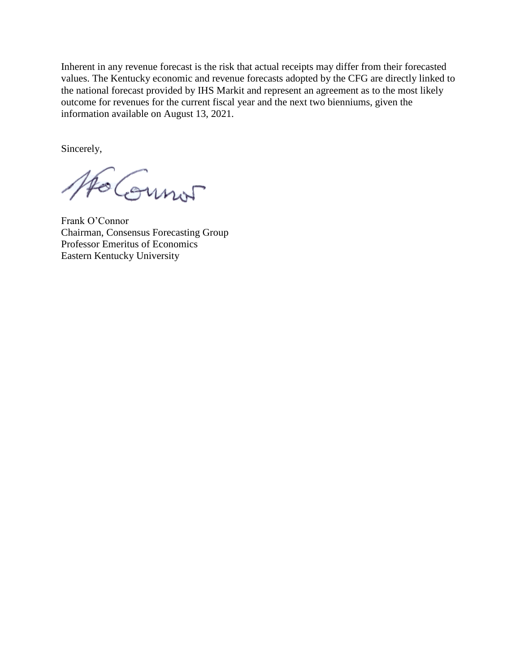Inherent in any revenue forecast is the risk that actual receipts may differ from their forecasted values. The Kentucky economic and revenue forecasts adopted by the CFG are directly linked to the national forecast provided by IHS Markit and represent an agreement as to the most likely outcome for revenues for the current fiscal year and the next two bienniums, given the information available on August 13, 2021.

Sincerely,

Ho Connor

Frank O'Connor Chairman, Consensus Forecasting Group Professor Emeritus of Economics Eastern Kentucky University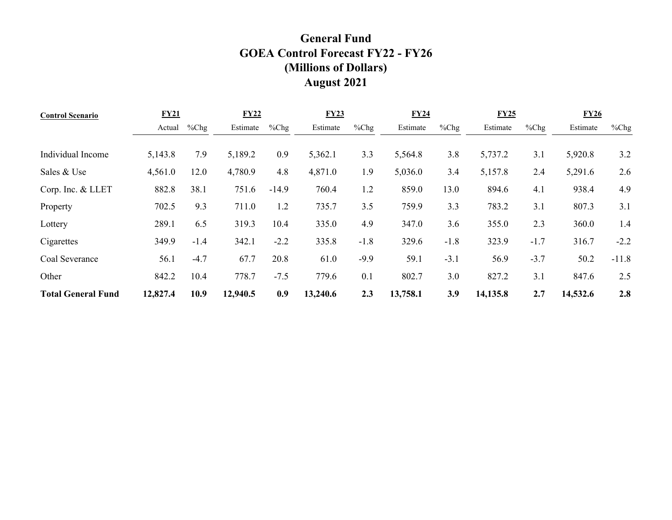# **General Fund GOEA Control Forecast FY22 - FY26 (Millions of Dollars) August 2021**

| <b>Control Scenario</b>   | <b>FY21</b> |         | <b>FY22</b> |         | <b>FY23</b> |         | <b>FY24</b> |        | <b>FY25</b> |         | <b>FY26</b> |         |
|---------------------------|-------------|---------|-------------|---------|-------------|---------|-------------|--------|-------------|---------|-------------|---------|
|                           | Actual      | $%$ Chg | Estimate    | $%$ Chg | Estimate    | $%$ Chg | Estimate    | %Chg   | Estimate    | $%$ Chg | Estimate    | $%$ Chg |
|                           |             |         |             |         |             |         |             |        |             |         |             |         |
| Individual Income         | 5,143.8     | 7.9     | 5,189.2     | 0.9     | 5,362.1     | 3.3     | 5,564.8     | 3.8    | 5,737.2     | 3.1     | 5,920.8     | 3.2     |
| Sales & Use               | 4,561.0     | 12.0    | 4,780.9     | 4.8     | 4,871.0     | 1.9     | 5,036.0     | 3.4    | 5,157.8     | 2.4     | 5,291.6     | 2.6     |
| Corp. Inc. & LLET         | 882.8       | 38.1    | 751.6       | $-14.9$ | 760.4       | 1.2     | 859.0       | 13.0   | 894.6       | 4.1     | 938.4       | 4.9     |
| Property                  | 702.5       | 9.3     | 711.0       | 1.2     | 735.7       | 3.5     | 759.9       | 3.3    | 783.2       | 3.1     | 807.3       | 3.1     |
| Lottery                   | 289.1       | 6.5     | 319.3       | 10.4    | 335.0       | 4.9     | 347.0       | 3.6    | 355.0       | 2.3     | 360.0       | 1.4     |
| Cigarettes                | 349.9       | $-1.4$  | 342.1       | $-2.2$  | 335.8       | $-1.8$  | 329.6       | $-1.8$ | 323.9       | $-1.7$  | 316.7       | $-2.2$  |
| Coal Severance            | 56.1        | $-4.7$  | 67.7        | 20.8    | 61.0        | $-9.9$  | 59.1        | $-3.1$ | 56.9        | $-3.7$  | 50.2        | $-11.8$ |
| Other                     | 842.2       | 10.4    | 778.7       | $-7.5$  | 779.6       | 0.1     | 802.7       | 3.0    | 827.2       | 3.1     | 847.6       | 2.5     |
| <b>Total General Fund</b> | 12,827.4    | 10.9    | 12,940.5    | 0.9     | 13,240.6    | 2.3     | 13,758.1    | 3.9    | 14,135.8    | 2.7     | 14,532.6    | 2.8     |